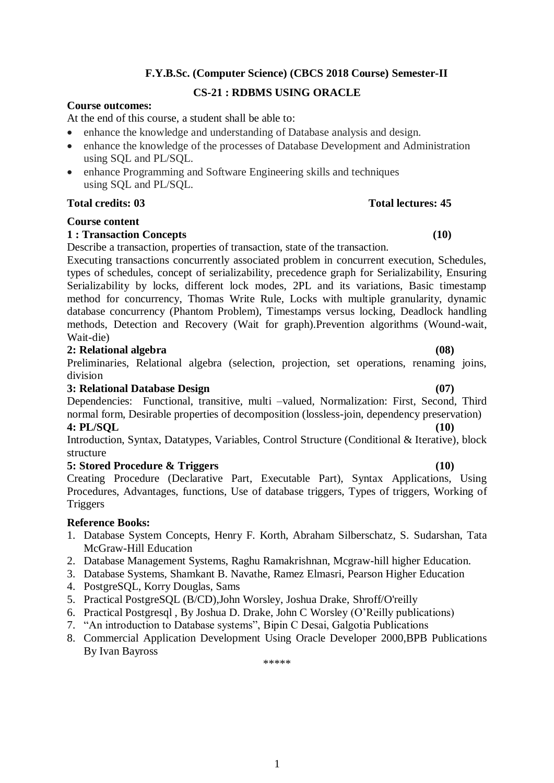### **CS-21 : RDBMS USING ORACLE**

### **Course outcomes:**

At the end of this course, a student shall be able to:

- enhance the knowledge and understanding of Database analysis and design.
- enhance the knowledge of the processes of Database Development and Administration using SQL and PL/SQL.
- enhance Programming and Software Engineering skills and techniques using SQL and PL/SQL.

### **Total credits: 03 Total lectures: 45**

### **Course content**

### **1 : Transaction Concepts (10)**

Describe a transaction, properties of transaction, state of the transaction.

Executing transactions concurrently associated problem in concurrent execution, Schedules, types of schedules, concept of serializability, precedence graph for Serializability, Ensuring Serializability by locks, different lock modes, 2PL and its variations, Basic timestamp method for concurrency, Thomas Write Rule, Locks with multiple granularity, dynamic database concurrency (Phantom Problem), Timestamps versus locking, Deadlock handling methods, Detection and Recovery (Wait for graph).Prevention algorithms (Wound-wait, Wait-die)

### **2: Relational algebra (08)**

Preliminaries, Relational algebra (selection, projection, set operations, renaming joins, division

### **3: Relational Database Design (07)**

Dependencies: Functional, transitive, multi –valued, Normalization: First, Second, Third normal form, Desirable properties of decomposition (lossless-join, dependency preservation) **4: PL/SQL (10)**

Introduction, Syntax, Datatypes, Variables, Control Structure (Conditional & Iterative), block structure

### **5: Stored Procedure & Triggers (10)**

Creating Procedure (Declarative Part, Executable Part), Syntax Applications, Using Procedures, Advantages, functions, Use of database triggers, Types of triggers, Working of Triggers

### **Reference Books:**

- 1. Database System Concepts, Henry F. Korth, Abraham Silberschatz, S. Sudarshan, Tata McGraw-Hill Education
- 2. Database Management Systems, Raghu Ramakrishnan, Mcgraw-hill higher Education.
- 3. Database Systems, Shamkant B. Navathe, Ramez Elmasri, Pearson Higher Education
- 4. PostgreSQL, Korry Douglas, Sams
- 5. Practical PostgreSQL (B/CD),John Worsley, Joshua Drake, Shroff/O'reilly
- 6. Practical Postgresql , By Joshua D. Drake, John C Worsley (O'Reilly publications)
- 7. "An introduction to Database systems", Bipin C Desai, Galgotia Publications
- 8. Commercial Application Development Using Oracle Developer 2000,BPB Publications By Ivan Bayross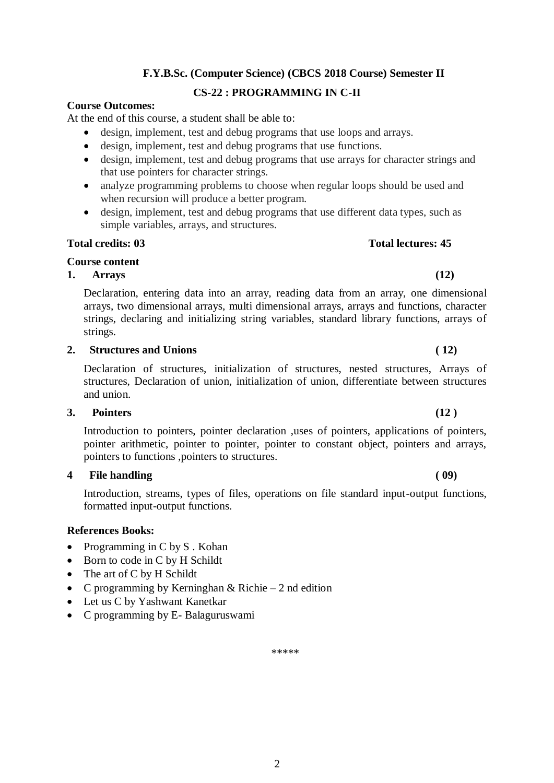## **CS-22 : PROGRAMMING IN C-II**

### **Course Outcomes:**

At the end of this course, a student shall be able to:

- design, implement, test and debug programs that use loops and arrays.
- design, implement, test and debug programs that use functions.
- design, implement, test and debug programs that use arrays for character strings and that use pointers for character strings.
- analyze programming problems to choose when regular loops should be used and when recursion will produce a better program.
- design, implement, test and debug programs that use different data types, such as simple variables, arrays, and structures.

### **Total credits: 03** Total lectures: 45

### **Course content**

### **1. Arrays (12)**

Declaration, entering data into an array, reading data from an array, one dimensional arrays, two dimensional arrays, multi dimensional arrays, arrays and functions, character strings, declaring and initializing string variables, standard library functions, arrays of strings.

### **2. Structures and Unions ( 12)**

Declaration of structures, initialization of structures, nested structures, Arrays of structures, Declaration of union, initialization of union, differentiate between structures and union.

### **3. Pointers (12 )**

Introduction to pointers, pointer declaration ,uses of pointers, applications of pointers, pointer arithmetic, pointer to pointer, pointer to constant object, pointers and arrays, pointers to functions ,pointers to structures.

### **4 File handling ( 09)**

Introduction, streams, types of files, operations on file standard input-output functions, formatted input-output functions.

### **References Books:**

- Programming in  $C$  by  $S$ . Kohan
- Born to code in C by H Schildt
- The art of C by H Schildt
- C programming by Kerninghan  $& Richie 2$  nd edition
- Let us C by Yashwant Kanetkar
- C programming by E- Balaguruswami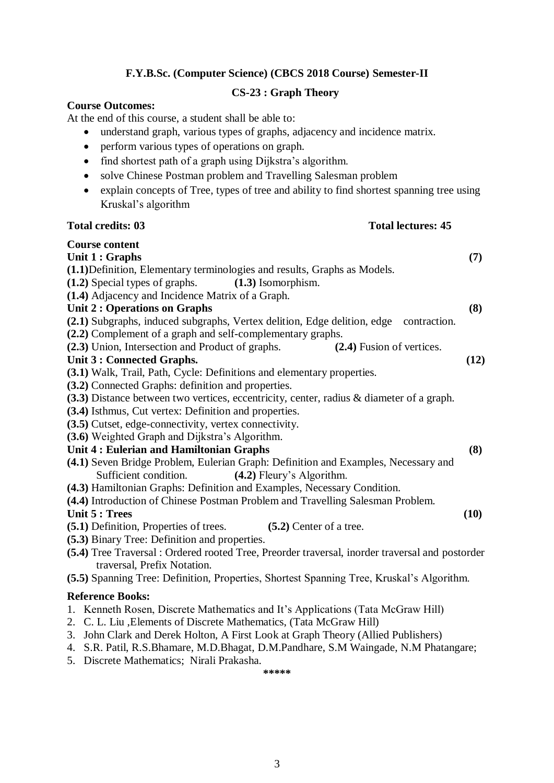### **CS-23 : Graph Theory**

### **Course Outcomes:**

At the end of this course, a student shall be able to:

- understand graph, various types of graphs, adjacency and incidence matrix.
- perform various types of operations on graph.
- find shortest path of a graph using Dijkstra's algorithm.
- solve Chinese Postman problem and Travelling Salesman problem
- explain concepts of Tree, types of tree and ability to find shortest spanning tree using Kruskal's algorithm

### **Total credits: 03** Total lectures: 45

| <b>Course content</b>                                                                                                                                  |
|--------------------------------------------------------------------------------------------------------------------------------------------------------|
| Unit 1 : Graphs<br>(7)                                                                                                                                 |
| (1.1) Definition, Elementary terminologies and results, Graphs as Models.                                                                              |
| $(1.2)$ Special types of graphs. $(1.3)$ Isomorphism.                                                                                                  |
| (1.4) Adjacency and Incidence Matrix of a Graph.                                                                                                       |
| Unit 2 : Operations on Graphs<br>(8)                                                                                                                   |
| (2.1) Subgraphs, induced subgraphs, Vertex delition, Edge delition, edge<br>contraction.<br>(2.2) Complement of a graph and self-complementary graphs. |
| (2.4) Fusion of vertices.<br>(2.3) Union, Intersection and Product of graphs.                                                                          |
| <b>Unit 3: Connected Graphs.</b><br>(12)                                                                                                               |
| (3.1) Walk, Trail, Path, Cycle: Definitions and elementary properties.                                                                                 |
| (3.2) Connected Graphs: definition and properties.                                                                                                     |
| $(3.3)$ Distance between two vertices, eccentricity, center, radius & diameter of a graph.                                                             |
| (3.4) Isthmus, Cut vertex: Definition and properties.                                                                                                  |
| (3.5) Cutset, edge-connectivity, vertex connectivity.                                                                                                  |
| (3.6) Weighted Graph and Dijkstra's Algorithm.                                                                                                         |
| <b>Unit 4: Eulerian and Hamiltonian Graphs</b><br>(8)                                                                                                  |
| (4.1) Seven Bridge Problem, Eulerian Graph: Definition and Examples, Necessary and                                                                     |
| Sufficient condition.<br>$(4.2)$ Fleury's Algorithm.                                                                                                   |
| (4.3) Hamiltonian Graphs: Definition and Examples, Necessary Condition.                                                                                |
| (4.4) Introduction of Chinese Postman Problem and Travelling Salesman Problem.                                                                         |
| <b>Unit 5: Trees</b><br>(10)                                                                                                                           |
| (5.1) Definition, Properties of trees.<br>$(5.2)$ Center of a tree.                                                                                    |
| (5.3) Binary Tree: Definition and properties.                                                                                                          |
| (5.4) Tree Traversal: Ordered rooted Tree, Preorder traversal, inorder traversal and postorder<br>traversal, Prefix Notation.                          |
| (5.5) Spanning Tree: Definition, Properties, Shortest Spanning Tree, Kruskal's Algorithm.                                                              |
| <b>Reference Books:</b>                                                                                                                                |
| 1. Kenneth Rosen, Discrete Mathematics and It's Applications (Tata McGraw Hill)                                                                        |
| 2. C. L. Liu , Elements of Discrete Mathematics, (Tata McGraw Hill)                                                                                    |
| 3. John Clark and Derek Holton, A First Look at Graph Theory (Allied Publishers)                                                                       |

- 4. S.R. Patil, R.S.Bhamare, M.D.Bhagat, D.M.Pandhare, S.M Waingade, N.M Phatangare;
- 5. Discrete Mathematics; Nirali Prakasha.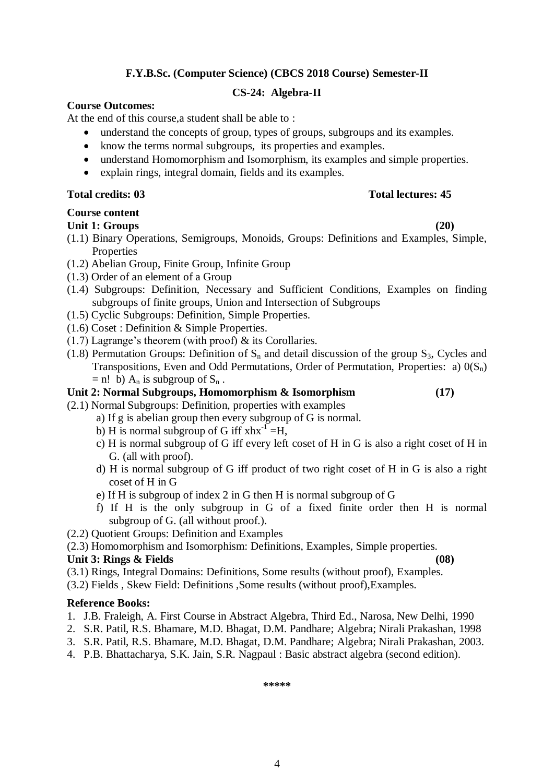### **CS-24: Algebra-II**

### **Course Outcomes:**

At the end of this course,a student shall be able to :

- understand the concepts of group, types of groups, subgroups and its examples.
- know the terms normal subgroups, its properties and examples.
- understand Homomorphism and Isomorphism, its examples and simple properties.
- explain rings, integral domain, fields and its examples.

### Total credits: 03 Total lectures: 45

### **Course content**

### Unit 1: Groups (20)

- (1.1) Binary Operations, Semigroups, Monoids, Groups: Definitions and Examples, Simple, **Properties**
- (1.2) Abelian Group, Finite Group, Infinite Group
- (1.3) Order of an element of a Group
- (1.4) Subgroups: Definition, Necessary and Sufficient Conditions, Examples on finding subgroups of finite groups, Union and Intersection of Subgroups
- (1.5) Cyclic Subgroups: Definition, Simple Properties.
- (1.6) Coset : Definition & Simple Properties.
- (1.7) Lagrange's theorem (with proof) & its Corollaries.
- (1.8) Permutation Groups: Definition of  $S_n$  and detail discussion of the group  $S_3$ , Cycles and Transpositions, Even and Odd Permutations, Order of Permutation, Properties: a)  $0(S_n)$  $=$  n! b)  $A_n$  is subgroup of  $S_n$ .

### **Unit 2: Normal Subgroups, Homomorphism & Isomorphism (17)**

(2.1) Normal Subgroups: Definition, properties with examples

- a) If g is abelian group then every subgroup of G is normal.
- b) H is normal subgroup of G iff  $xhx^{-1} = H$ ,
- c) H is normal subgroup of G iff every left coset of H in G is also a right coset of H in G. (all with proof).
- d) H is normal subgroup of G iff product of two right coset of H in G is also a right coset of H in G
- e) If H is subgroup of index 2 in G then H is normal subgroup of G
- f) If H is the only subgroup in G of a fixed finite order then H is normal subgroup of G. (all without proof.).
- (2.2) Quotient Groups: Definition and Examples
- (2.3) Homomorphism and Isomorphism: Definitions, Examples, Simple properties.

### **Unit 3: Rings & Fields (08)**

(3.1) Rings, Integral Domains: Definitions, Some results (without proof), Examples.

(3.2) Fields , Skew Field: Definitions ,Some results (without proof),Examples.

### **Reference Books:**

- 1. J.B. Fraleigh, A. First Course in Abstract Algebra, Third Ed., Narosa, New Delhi, 1990
- 2. S.R. Patil, R.S. Bhamare, M.D. Bhagat, D.M. Pandhare; Algebra; Nirali Prakashan, 1998
- 3. S.R. Patil, R.S. Bhamare, M.D. Bhagat, D.M. Pandhare; Algebra; Nirali Prakashan, 2003.
- 4. P.B. Bhattacharya, S.K. Jain, S.R. Nagpaul : Basic abstract algebra (second edition).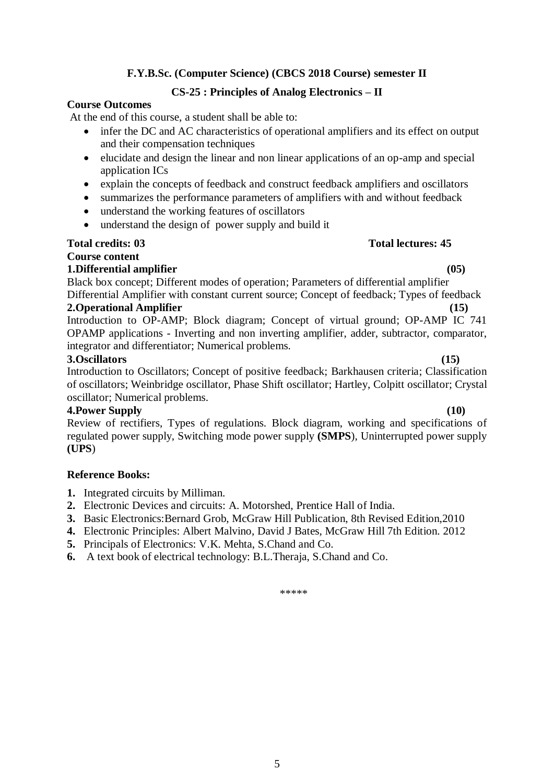### **CS-25 : Principles of Analog Electronics – II**

### **Course Outcomes**

At the end of this course, a student shall be able to:

- infer the DC and AC characteristics of operational amplifiers and its effect on output and their compensation techniques
- elucidate and design the linear and non linear applications of an op-amp and special application ICs
- explain the concepts of feedback and construct feedback amplifiers and oscillators
- summarizes the performance parameters of amplifiers with and without feedback
- understand the working features of oscillators
- understand the design of power supply and build it

### **Total credits: 03 Total lectures: 45**

### **Course content**

### **1.Differential amplifier (05)**

Black box concept; Different modes of operation; Parameters of differential amplifier Differential Amplifier with constant current source; Concept of feedback; Types of feedback

### **2.Operational Amplifier (15)**

Introduction to OP-AMP; Block diagram; Concept of virtual ground; OP-AMP IC 741 OPAMP applications - Inverting and non inverting amplifier, adder, subtractor, comparator, integrator and differentiator; Numerical problems.

### **3.Oscillators (15)**

Introduction to Oscillators; Concept of positive feedback; Barkhausen criteria; Classification of oscillators; Weinbridge oscillator, Phase Shift oscillator; Hartley, Colpitt oscillator; Crystal oscillator; Numerical problems.

### **4.Power Supply (10)**

Review of rectifiers, Types of regulations. Block diagram, working and specifications of regulated power supply, Switching mode power supply **(SMPS**), Uninterrupted power supply **(UPS**)

### **Reference Books:**

- **1.** Integrated circuits by Milliman.
- **2.** Electronic Devices and circuits: A. Motorshed, Prentice Hall of India.
- **3.** Basic Electronics:Bernard Grob, McGraw Hill Publication, 8th Revised Edition,2010
- **4.** Electronic Principles: Albert Malvino, David J Bates, McGraw Hill 7th Edition. 2012
- **5.** Principals of Electronics: V.K. Mehta, S.Chand and Co.
- **6.** A text book of electrical technology: B.L.Theraja, S.Chand and Co.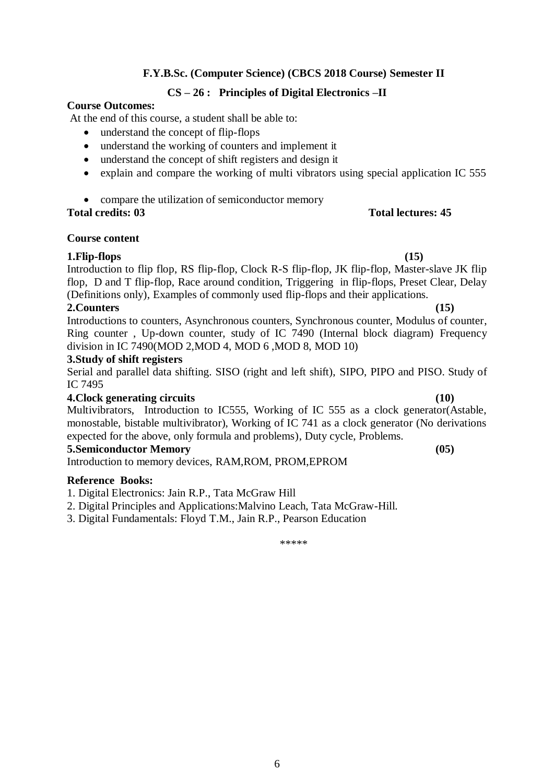6

## **F.Y.B.Sc. (Computer Science) (CBCS 2018 Course) Semester II**

### **CS – 26 : Principles of Digital Electronics –II**

### **Course Outcomes:**

At the end of this course, a student shall be able to:

- understand the concept of flip-flops
- understand the working of counters and implement it
- understand the concept of shift registers and design it
- explain and compare the working of multi vibrators using special application IC 555
- compare the utilization of semiconductor memory

### **Total credits: 03** Total lectures: 45

### **Course content**

### **1.Flip-flops (15)**

Introduction to flip flop, RS flip-flop, Clock R-S flip-flop, JK flip-flop, Master-slave JK flip flop, D and T flip-flop, Race around condition, Triggering in flip-flops, Preset Clear, Delay (Definitions only), Examples of commonly used flip-flops and their applications.

### **2.Counters (15)**

Introductions to counters, Asynchronous counters, Synchronous counter, Modulus of counter, Ring counter , Up-down counter, study of IC 7490 (Internal block diagram) Frequency division in IC 7490(MOD 2,MOD 4, MOD 6 ,MOD 8, MOD 10)

### **3.Study of shift registers**

Serial and parallel data shifting. SISO (right and left shift), SIPO, PIPO and PISO. Study of IC 7495

### **4.Clock generating circuits (10)**

Multivibrators, Introduction to IC555, Working of IC 555 as a clock generator(Astable, monostable, bistable multivibrator), Working of IC 741 as a clock generator (No derivations expected for the above, only formula and problems), Duty cycle, Problems.

### **5.Semiconductor Memory (05)**

Introduction to memory devices, RAM,ROM, PROM,EPROM

### **Reference Books:**

1. Digital Electronics: Jain R.P., Tata McGraw Hill

2. Digital Principles and Applications:Malvino Leach, Tata McGraw-Hill.

3. Digital Fundamentals: Floyd T.M., Jain R.P., Pearson Education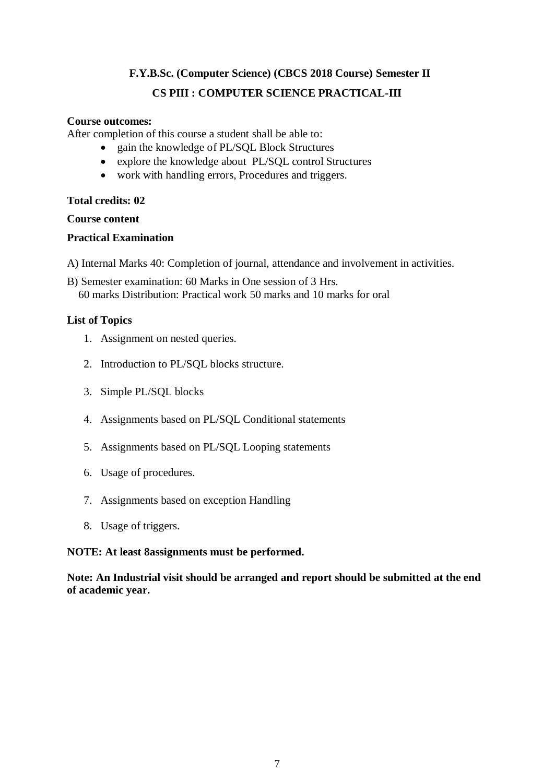## **F.Y.B.Sc. (Computer Science) (CBCS 2018 Course) Semester II CS PIII : COMPUTER SCIENCE PRACTICAL-III**

### **Course outcomes:**

After completion of this course a student shall be able to:

- gain the knowledge of PL/SQL Block Structures
- explore the knowledge about PL/SQL control Structures
- work with handling errors, Procedures and triggers.

### **Total credits: 02**

### **Course content**

### **Practical Examination**

A) Internal Marks 40: Completion of journal, attendance and involvement in activities.

B) Semester examination: 60 Marks in One session of 3 Hrs. 60 marks Distribution: Practical work 50 marks and 10 marks for oral

### **List of Topics**

- 1. Assignment on nested queries.
- 2. Introduction to PL/SQL blocks structure.
- 3. Simple PL/SQL blocks
- 4. Assignments based on PL/SQL Conditional statements
- 5. Assignments based on PL/SQL Looping statements
- 6. Usage of procedures.
- 7. Assignments based on exception Handling
- 8. Usage of triggers.

### **NOTE: At least 8assignments must be performed.**

**Note: An Industrial visit should be arranged and report should be submitted at the end of academic year.**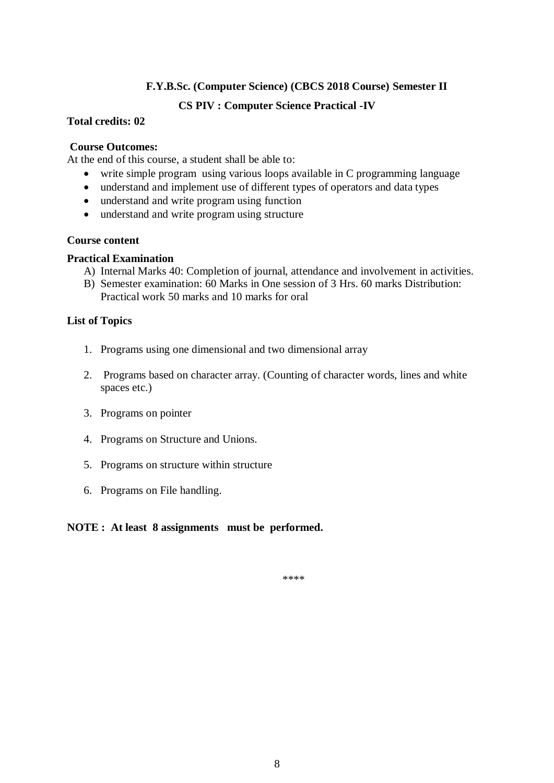### **CS PIV : Computer Science Practical -IV**

### **Total credits: 02**

### **Course Outcomes:**

At the end of this course, a student shall be able to:

- write simple program using various loops available in C programming language
- understand and implement use of different types of operators and data types
- understand and write program using function
- understand and write program using structure

### **Course content**

### **Practical Examination**

- A) Internal Marks 40: Completion of journal, attendance and involvement in activities.
- B) Semester examination: 60 Marks in One session of 3 Hrs. 60 marks Distribution: Practical work 50 marks and 10 marks for oral

### **List of Topics**

- 1. Programs using one dimensional and two dimensional array
- 2. Programs based on character array. (Counting of character words, lines and white spaces etc.)
- 3. Programs on pointer
- 4. Programs on Structure and Unions.
- 5. Programs on structure within structure
- 6. Programs on File handling.

### **NOTE : At least 8 assignments must be performed.**

\*\*\*\*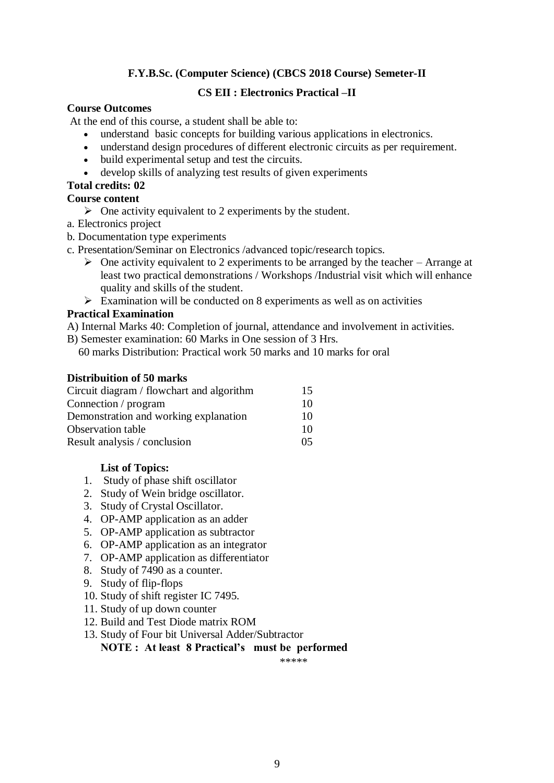### **CS EII : Electronics Practical –II**

### **Course Outcomes**

At the end of this course, a student shall be able to:

- understand basic concepts for building various applications in electronics.
- understand design procedures of different electronic circuits as per requirement.
- build experimental setup and test the circuits.
- develop skills of analyzing test results of given experiments

### **Total credits: 02**

### **Course content**

- $\triangleright$  One activity equivalent to 2 experiments by the student.
- a. Electronics project
- b. Documentation type experiments
- c. Presentation/Seminar on Electronics /advanced topic/research topics.
	- $\triangleright$  One activity equivalent to 2 experiments to be arranged by the teacher Arrange at least two practical demonstrations / Workshops /Industrial visit which will enhance quality and skills of the student.
	- $\triangleright$  Examination will be conducted on 8 experiments as well as on activities

### **Practical Examination**

A) Internal Marks 40: Completion of journal, attendance and involvement in activities.

B) Semester examination: 60 Marks in One session of 3 Hrs.

60 marks Distribution: Practical work 50 marks and 10 marks for oral

### **Distribuition of 50 marks**

| Circuit diagram / flowchart and algorithm | 15 |
|-------------------------------------------|----|
| Connection / program                      | 10 |
| Demonstration and working explanation     | 10 |
| <b>Observation table</b>                  | 10 |
| Result analysis / conclusion              | 05 |

### **List of Topics:**

- 1. Study of phase shift oscillator
- 2. Study of Wein bridge oscillator.
- 3. Study of Crystal Oscillator.
- 4. OP-AMP application as an adder
- 5. OP-AMP application as subtractor
- 6. OP-AMP application as an integrator
- 7. OP-AMP application as differentiator
- 8. Study of 7490 as a counter.
- 9. Study of flip-flops
- 10. Study of shift register IC 7495.
- 11. Study of up down counter
- 12. Build and Test Diode matrix ROM
- 13. Study of Four bit Universal Adder/Subtractor

### **NOTE : At least 8 Practical's must be performed**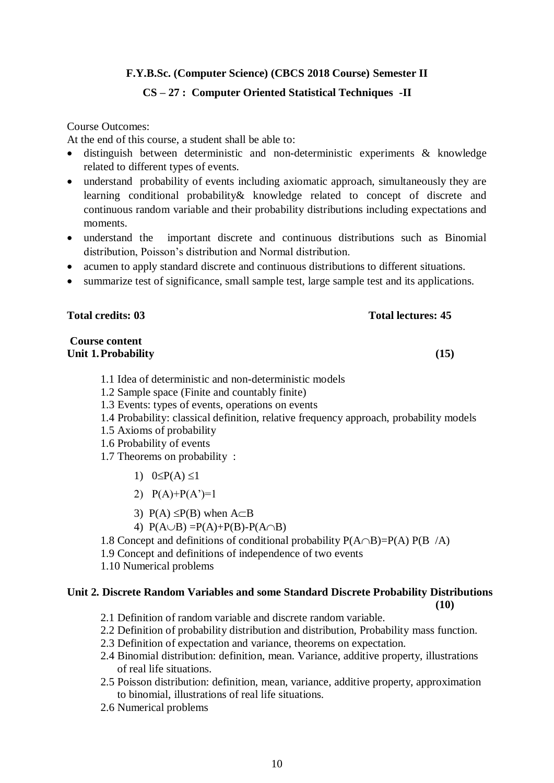### **CS – 27 : Computer Oriented Statistical Techniques -II**

Course Outcomes:

At the end of this course, a student shall be able to:

- distinguish between deterministic and non-deterministic experiments & knowledge related to different types of events.
- understand probability of events including axiomatic approach, simultaneously they are learning conditional probability& knowledge related to concept of discrete and continuous random variable and their probability distributions including expectations and moments.
- understand the important discrete and continuous distributions such as Binomial distribution, Poisson's distribution and Normal distribution.
- acumen to apply standard discrete and continuous distributions to different situations.
- summarize test of significance, small sample test, large sample test and its applications.

### **Total credits: 03 Total lectures: 45**

### **Course content Unit 1.Probability (15)**

- 1.1 Idea of deterministic and non-deterministic models
- 1.2 Sample space (Finite and countably finite)
- 1.3 Events: types of events, operations on events
- 1.4 Probability: classical definition, relative frequency approach, probability models
- 1.5 Axioms of probability
- 1.6 Probability of events
- 1.7 Theorems on probability :
	- 1)  $0 \leq P(A) \leq 1$
	- 2)  $P(A)+P(A')=1$
	- 3)  $P(A) \leq P(B)$  when  $A \subset B$
	- 4)  $P(A \cup B) = P(A) + P(B) P(A \cap B)$
- 1.8 Concept and definitions of conditional probability  $P(A \cap B) = P(A) P(B \cap A)$
- 1.9 Concept and definitions of independence of two events
- 1.10 Numerical problems

### **Unit 2. Discrete Random Variables and some Standard Discrete Probability Distributions**

**(10)** 

- 2.1 Definition of random variable and discrete random variable.
- 2.2 Definition of probability distribution and distribution, Probability mass function.
- 2.3 Definition of expectation and variance, theorems on expectation.
- 2.4 Binomial distribution: definition, mean. Variance, additive property, illustrations of real life situations.
- 2.5 Poisson distribution: definition, mean, variance, additive property, approximation to binomial, illustrations of real life situations.
- 2.6 Numerical problems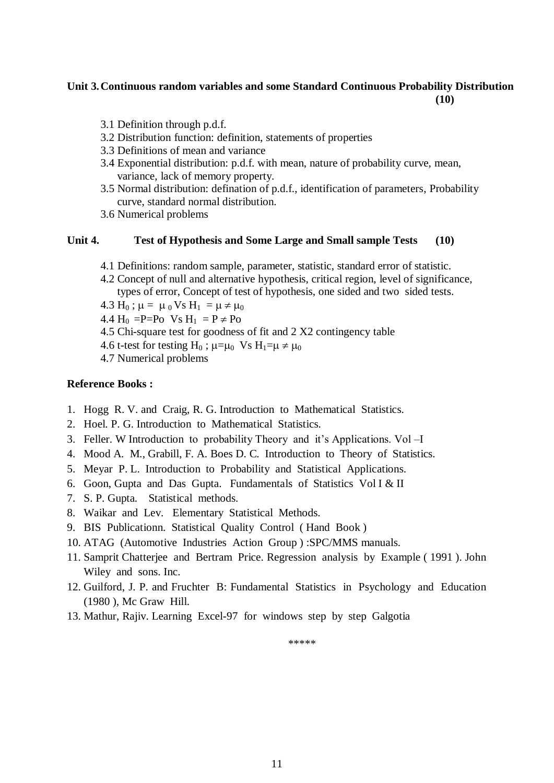### **Unit 3.Continuous random variables and some Standard Continuous Probability Distribution (10)**

- 3.1 Definition through p.d.f.
- 3.2 Distribution function: definition, statements of properties
- 3.3 Definitions of mean and variance
- 3.4 Exponential distribution: p.d.f. with mean, nature of probability curve, mean, variance, lack of memory property.
- 3.5 Normal distribution: defination of p.d.f., identification of parameters, Probability curve, standard normal distribution.
- 3.6 Numerical problems

### **Unit 4. Test of Hypothesis and Some Large and Small sample Tests (10)**

- 4.1 Definitions: random sample, parameter, statistic, standard error of statistic.
- 4.2 Concept of null and alternative hypothesis, critical region, level of significance, types of error, Concept of test of hypothesis, one sided and two sided tests.
- $4.3 H_0$ ;  $\mu = \mu_0 Vs H_1 = \mu \neq \mu_0$
- 4.4 H<sub>0</sub> = P = P  $\sim$  Vs H<sub>1</sub> = P  $\neq$  Po
- 4.5 Chi-square test for goodness of fit and 2 X2 contingency table
- 4.6 t-test for testing H<sub>0</sub>;  $\mu = \mu_0$  Vs H<sub>1</sub>= $\mu \neq \mu_0$
- 4.7 Numerical problems

### **Reference Books :**

- 1. Hogg R. V. and Craig, R. G. Introduction to Mathematical Statistics.
- 2. Hoel. P. G. Introduction to Mathematical Statistics.
- 3. Feller. W Introduction to probability Theory and it's Applications. Vol –I
- 4. Mood A. M., Grabill, F. A. Boes D. C. Introduction to Theory of Statistics.
- 5. Meyar P. L. Introduction to Probability and Statistical Applications.
- 6. Goon, Gupta and Das Gupta. Fundamentals of Statistics Vol I & II
- 7. S. P. Gupta. Statistical methods.
- 8. Waikar and Lev. Elementary Statistical Methods.
- 9. BIS Publicationn. Statistical Quality Control ( Hand Book )
- 10. ATAG (Automotive Industries Action Group ) :SPC/MMS manuals.
- 11. Samprit Chatterjee and Bertram Price. Regression analysis by Example ( 1991 ). John Wiley and sons. Inc.
- 12. Guilford, J. P. and Fruchter B: Fundamental Statistics in Psychology and Education (1980 ), Mc Graw Hill.
- 13. Mathur, Rajiv. Learning Excel-97 for windows step by step Galgotia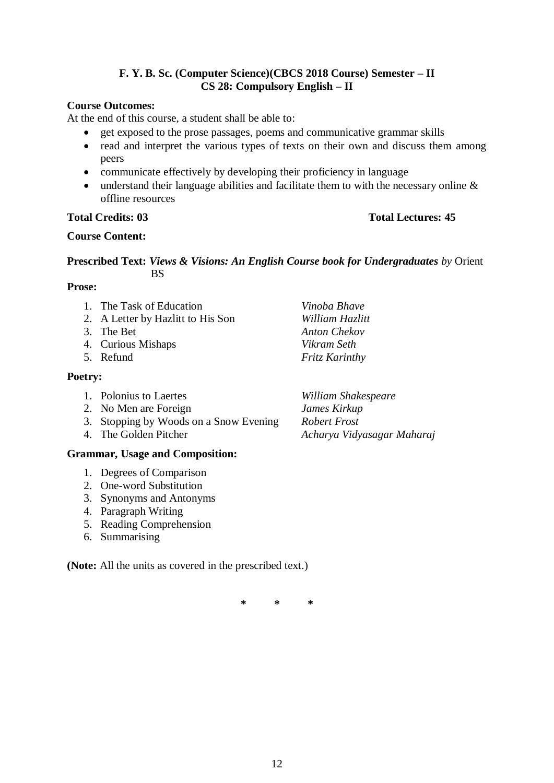### **F. Y. B. Sc. (Computer Science)(CBCS 2018 Course) Semester – II CS 28: Compulsory English – II**

### **Course Outcomes:**

At the end of this course, a student shall be able to:

- get exposed to the prose passages, poems and communicative grammar skills
- read and interpret the various types of texts on their own and discuss them among peers
- communicate effectively by developing their proficiency in language
- understand their language abilities and facilitate them to with the necessary online  $\&$ offline resources

### **Total Credits: 03 Total Lectures: 45**

### **Course Content:**

### **Prescribed Text:** *Views & Visions: An English Course book for Undergraduates by* Orient BS

### **Prose:**

- 1. The Task of Education *Vinoba Bhave* 2. A Letter by Hazlitt to His Son *William Hazlitt*
- 3. The Bet *Anton Chekov*
- 4. Curious Mishaps *Vikram Seth*
- 5. Refund *Fritz Karinthy*

### **Poetry:**

- 1. Polonius to Laertes *William Shakespeare*
- 2. No Men are Foreign *James Kirkup*
- 3. Stopping by Woods on a Snow Evening *Robert Frost*
- 

### **Grammar, Usage and Composition:**

- 1. Degrees of Comparison
- 2. One-word Substitution
- 3. Synonyms and Antonyms
- 4. Paragraph Writing
- 5. Reading Comprehension
- 6. Summarising

**(Note:** All the units as covered in the prescribed text.)

**\* \* \***

4. The Golden Pitcher *Acharya Vidyasagar Maharaj*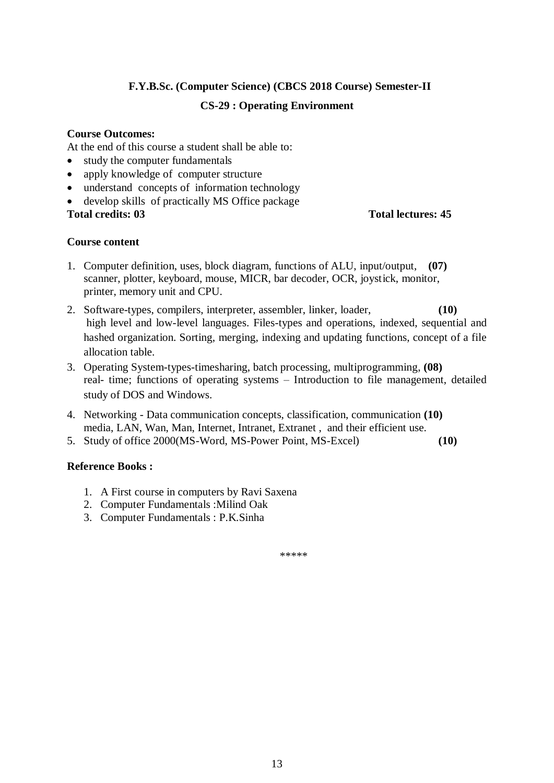### **CS-29 : Operating Environment**

### **Course Outcomes:**

At the end of this course a student shall be able to:

- study the computer fundamentals
- apply knowledge of computer structure
- understand concepts of information technology
- develop skills of practically MS Office package

### **Total credits: 03** Total lectures: 45

### **Course content**

- 1. Computer definition, uses, block diagram, functions of ALU, input/output, **(07)** scanner, plotter, keyboard, mouse, MICR, bar decoder, OCR, joystick, monitor, printer, memory unit and CPU.
- 2. Software-types, compilers, interpreter, assembler, linker, loader, **(10)** high level and low-level languages. Files-types and operations, indexed, sequential and hashed organization. Sorting, merging, indexing and updating functions, concept of a file allocation table.
- 3. Operating System-types-timesharing, batch processing, multiprogramming, **(08)** real- time; functions of operating systems – Introduction to file management, detailed study of DOS and Windows.
- 4. Networking Data communication concepts, classification, communication **(10)** media, LAN, Wan, Man, Internet, Intranet, Extranet , and their efficient use.
- 5. Study of office 2000(MS-Word, MS-Power Point, MS-Excel) **(10)**

### **Reference Books :**

- 1. A First course in computers by Ravi Saxena
- 2. Computer Fundamentals :Milind Oak
- 3. Computer Fundamentals : P.K.Sinha